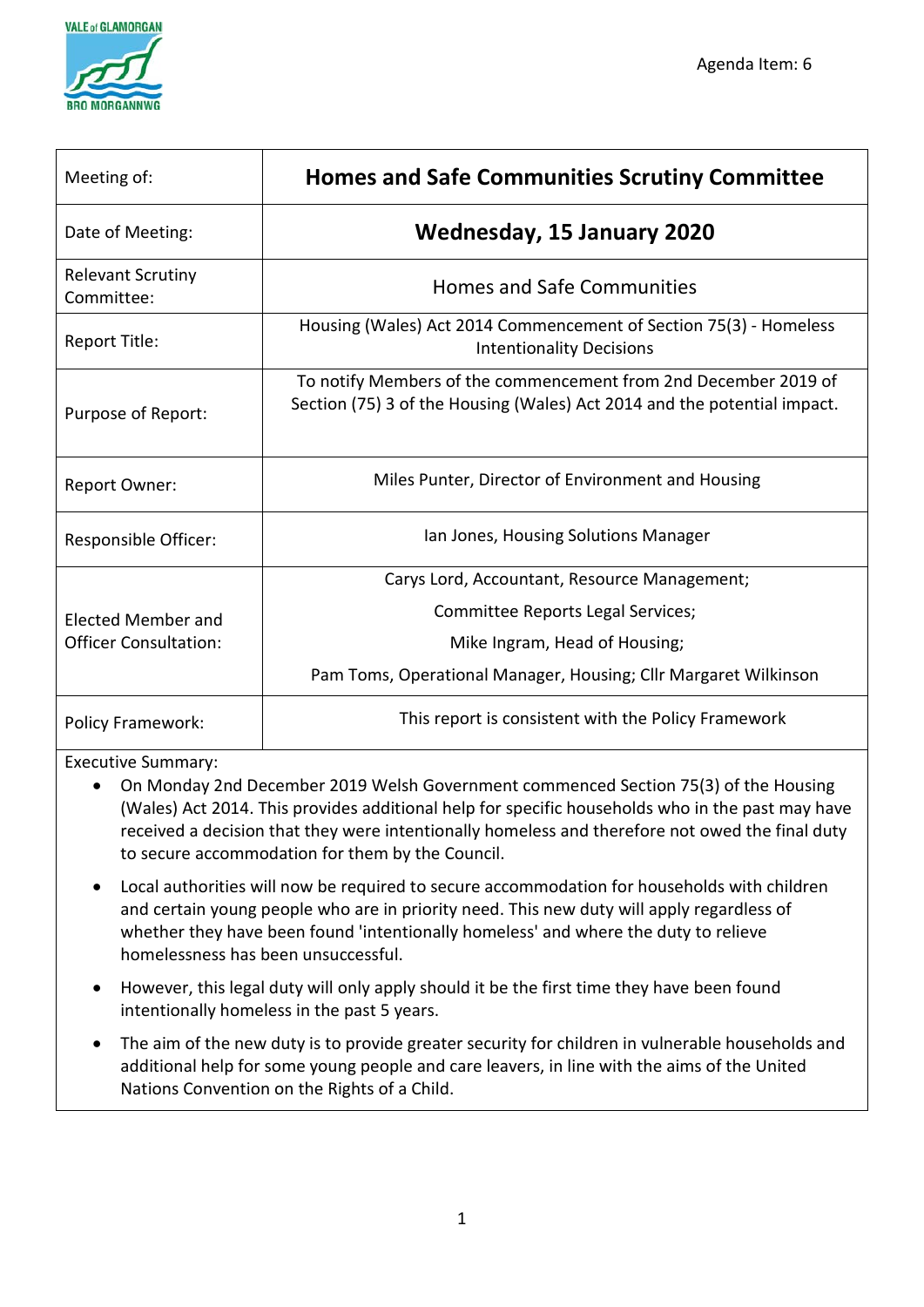

| Meeting of:                                        | <b>Homes and Safe Communities Scrutiny Committee</b>                                                                                        |
|----------------------------------------------------|---------------------------------------------------------------------------------------------------------------------------------------------|
| Date of Meeting:                                   | <b>Wednesday, 15 January 2020</b>                                                                                                           |
| <b>Relevant Scrutiny</b><br>Committee:             | <b>Homes and Safe Communities</b>                                                                                                           |
| Report Title:                                      | Housing (Wales) Act 2014 Commencement of Section 75(3) - Homeless<br><b>Intentionality Decisions</b>                                        |
| Purpose of Report:                                 | To notify Members of the commencement from 2nd December 2019 of<br>Section (75) 3 of the Housing (Wales) Act 2014 and the potential impact. |
| Report Owner:                                      | Miles Punter, Director of Environment and Housing                                                                                           |
| Responsible Officer:                               | Ian Jones, Housing Solutions Manager                                                                                                        |
| Elected Member and<br><b>Officer Consultation:</b> | Carys Lord, Accountant, Resource Management;                                                                                                |
|                                                    | Committee Reports Legal Services;                                                                                                           |
|                                                    | Mike Ingram, Head of Housing;                                                                                                               |
|                                                    | Pam Toms, Operational Manager, Housing; Cllr Margaret Wilkinson                                                                             |
| <b>Policy Framework:</b>                           | This report is consistent with the Policy Framework                                                                                         |

#### Executive Summary:

- On Monday 2nd December 2019 Welsh Government commenced Section 75(3) of the Housing (Wales) Act 2014. This provides additional help for specific households who in the past may have received a decision that they were intentionally homeless and therefore not owed the final duty to secure accommodation for them by the Council.
- Local authorities will now be required to secure accommodation for households with children and certain young people who are in priority need. This new duty will apply regardless of whether they have been found 'intentionally homeless' and where the duty to relieve homelessness has been unsuccessful.
- However, this legal duty will only apply should it be the first time they have been found intentionally homeless in the past 5 years.
- The aim of the new duty is to provide greater security for children in vulnerable households and additional help for some young people and care leavers, in line with the aims of the United Nations Convention on the Rights of a Child.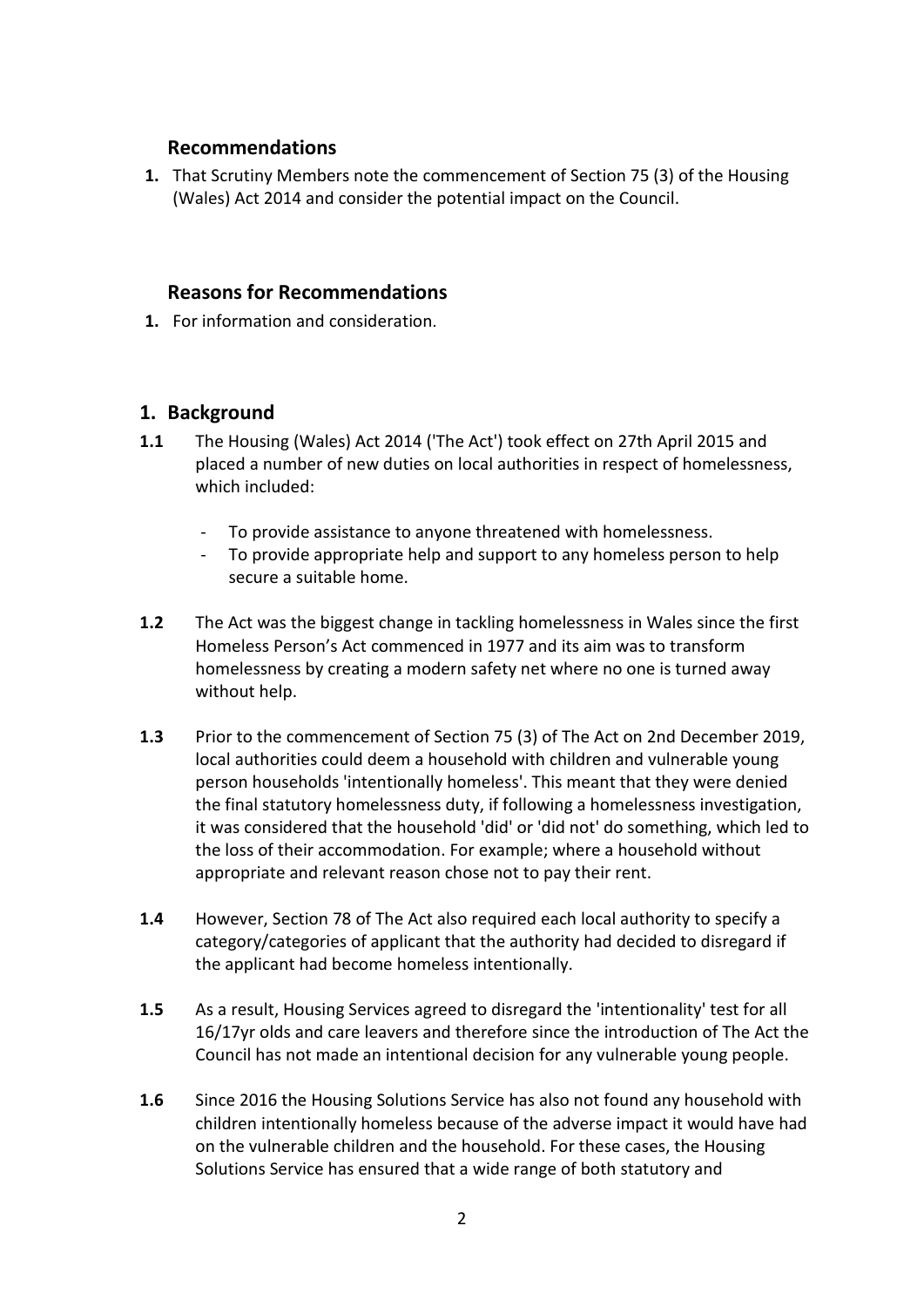## **Recommendations**

**1.** That Scrutiny Members note the commencement of Section 75 (3) of the Housing (Wales) Act 2014 and consider the potential impact on the Council.

## **Reasons for Recommendations**

**1.** For information and consideration.

## **1. Background**

- **1.1** The Housing (Wales) Act 2014 ('The Act') took effect on 27th April 2015 and placed a number of new duties on local authorities in respect of homelessness, which included:
	- To provide assistance to anyone threatened with homelessness.
	- To provide appropriate help and support to any homeless person to help secure a suitable home.
- **1.2** The Act was the biggest change in tackling homelessness in Wales since the first Homeless Person's Act commenced in 1977 and its aim was to transform homelessness by creating a modern safety net where no one is turned away without help.
- **1.3** Prior to the commencement of Section 75 (3) of The Act on 2nd December 2019, local authorities could deem a household with children and vulnerable young person households 'intentionally homeless'. This meant that they were denied the final statutory homelessness duty, if following a homelessness investigation, it was considered that the household 'did' or 'did not' do something, which led to the loss of their accommodation. For example; where a household without appropriate and relevant reason chose not to pay their rent.
- **1.4** However, Section 78 of The Act also required each local authority to specify a category/categories of applicant that the authority had decided to disregard if the applicant had become homeless intentionally.
- **1.5** As a result, Housing Services agreed to disregard the 'intentionality' test for all 16/17yr olds and care leavers and therefore since the introduction of The Act the Council has not made an intentional decision for any vulnerable young people.
- **1.6** Since 2016 the Housing Solutions Service has also not found any household with children intentionally homeless because of the adverse impact it would have had on the vulnerable children and the household. For these cases, the Housing Solutions Service has ensured that a wide range of both statutory and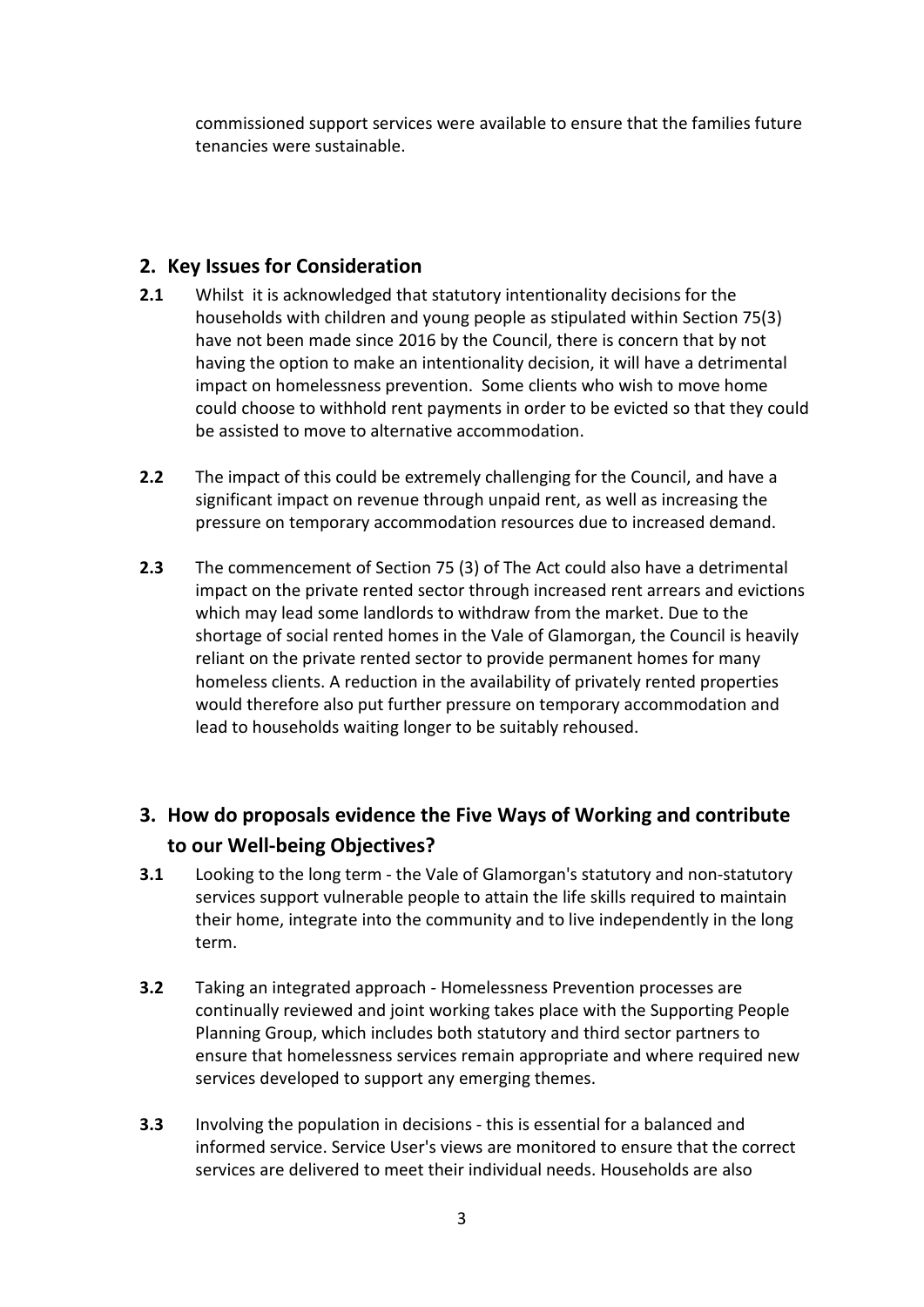commissioned support services were available to ensure that the families future tenancies were sustainable.

# **2. Key Issues for Consideration**

- **2.1** Whilst it is acknowledged that statutory intentionality decisions for the households with children and young people as stipulated within Section 75(3) have not been made since 2016 by the Council, there is concern that by not having the option to make an intentionality decision, it will have a detrimental impact on homelessness prevention. Some clients who wish to move home could choose to withhold rent payments in order to be evicted so that they could be assisted to move to alternative accommodation.
- **2.2** The impact of this could be extremely challenging for the Council, and have a significant impact on revenue through unpaid rent, as well as increasing the pressure on temporary accommodation resources due to increased demand.
- **2.3** The commencement of Section 75 (3) of The Act could also have a detrimental impact on the private rented sector through increased rent arrears and evictions which may lead some landlords to withdraw from the market. Due to the shortage of social rented homes in the Vale of Glamorgan, the Council is heavily reliant on the private rented sector to provide permanent homes for many homeless clients. A reduction in the availability of privately rented properties would therefore also put further pressure on temporary accommodation and lead to households waiting longer to be suitably rehoused.

# **3. How do proposals evidence the Five Ways of Working and contribute to our Well-being Objectives?**

- **3.1** Looking to the long term the Vale of Glamorgan's statutory and non-statutory services support vulnerable people to attain the life skills required to maintain their home, integrate into the community and to live independently in the long term.
- **3.2** Taking an integrated approach Homelessness Prevention processes are continually reviewed and joint working takes place with the Supporting People Planning Group, which includes both statutory and third sector partners to ensure that homelessness services remain appropriate and where required new services developed to support any emerging themes.
- **3.3** Involving the population in decisions this is essential for a balanced and informed service. Service User's views are monitored to ensure that the correct services are delivered to meet their individual needs. Households are also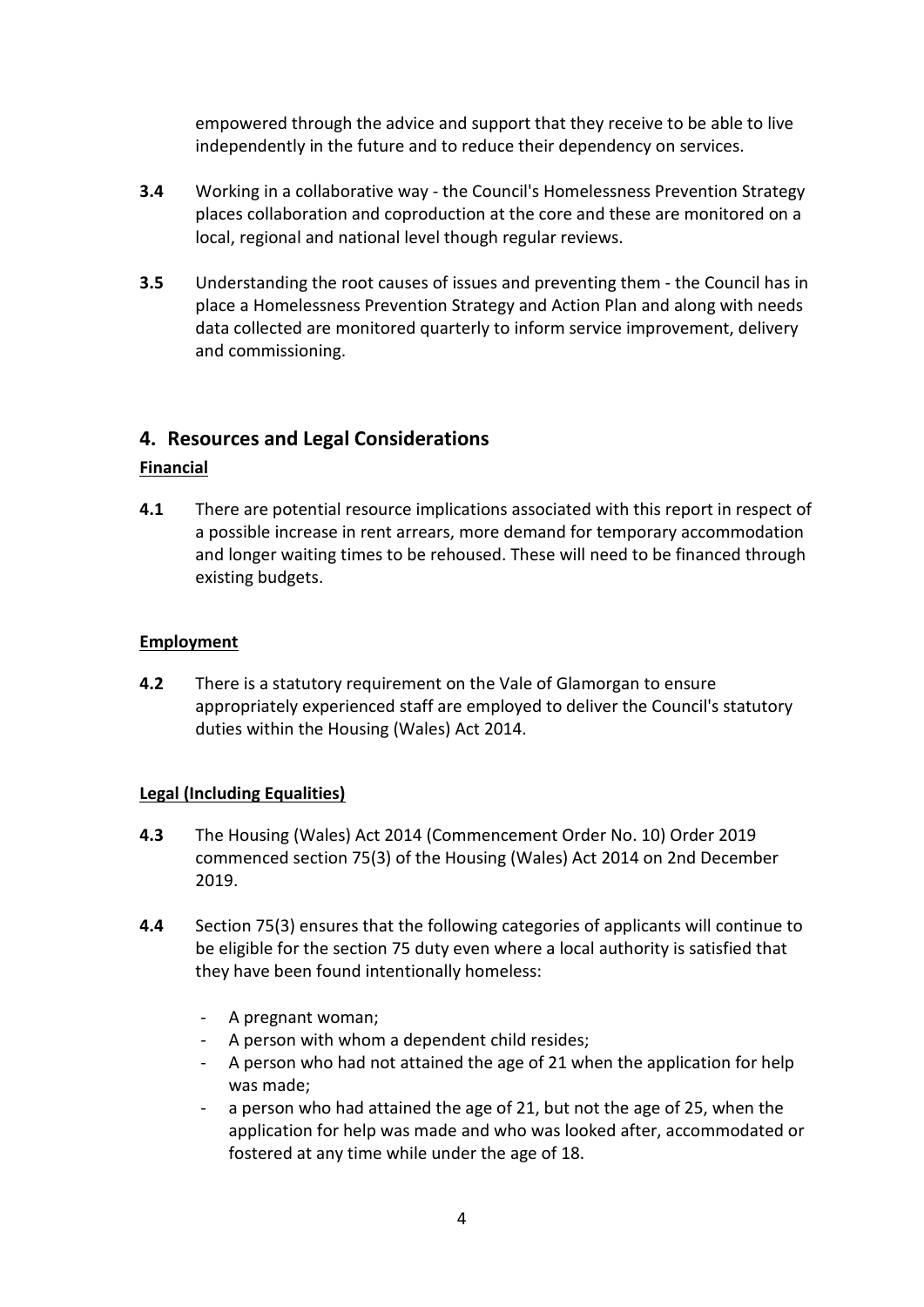empowered through the advice and support that they receive to be able to live independently in the future and to reduce their dependency on services.

- **3.4** Working in a collaborative way the Council's Homelessness Prevention Strategy places collaboration and coproduction at the core and these are monitored on a local, regional and national level though regular reviews.
- **3.5** Understanding the root causes of issues and preventing them the Council has in place a Homelessness Prevention Strategy and Action Plan and along with needs data collected are monitored quarterly to inform service improvement, delivery and commissioning.

## **4. Resources and Legal Considerations**

#### **Financial**

**4.1** There are potential resource implications associated with this report in respect of a possible increase in rent arrears, more demand for temporary accommodation and longer waiting times to be rehoused. These will need to be financed through existing budgets.

#### **Employment**

**4.2** There is a statutory requirement on the Vale of Glamorgan to ensure appropriately experienced staff are employed to deliver the Council's statutory duties within the Housing (Wales) Act 2014.

#### **Legal (Including Equalities)**

- **4.3** The Housing (Wales) Act 2014 (Commencement Order No. 10) Order 2019 commenced section 75(3) of the Housing (Wales) Act 2014 on 2nd December 2019.
- **4.4** Section 75(3) ensures that the following categories of applicants will continue to be eligible for the section 75 duty even where a local authority is satisfied that they have been found intentionally homeless:
	- A pregnant woman;
	- A person with whom a dependent child resides;
	- A person who had not attained the age of 21 when the application for help was made;
	- a person who had attained the age of 21, but not the age of 25, when the application for help was made and who was looked after, accommodated or fostered at any time while under the age of 18.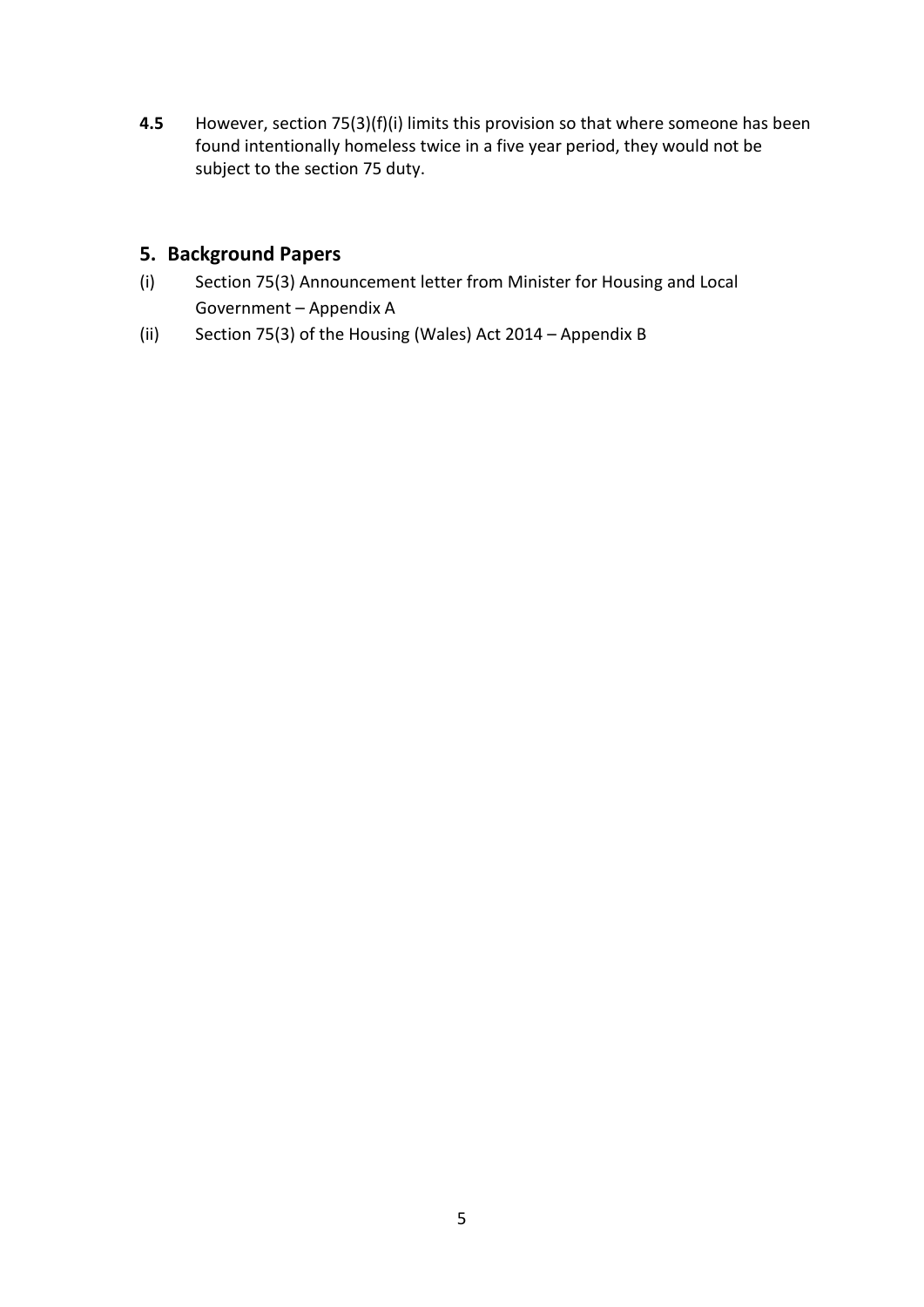**4.5** However, section 75(3)(f)(i) limits this provision so that where someone has been found intentionally homeless twice in a five year period, they would not be subject to the section 75 duty.

# **5. Background Papers**

- (i) Section 75(3) Announcement letter from Minister for Housing and Local Government – Appendix A
- (ii) Section 75(3) of the Housing (Wales) Act 2014 Appendix B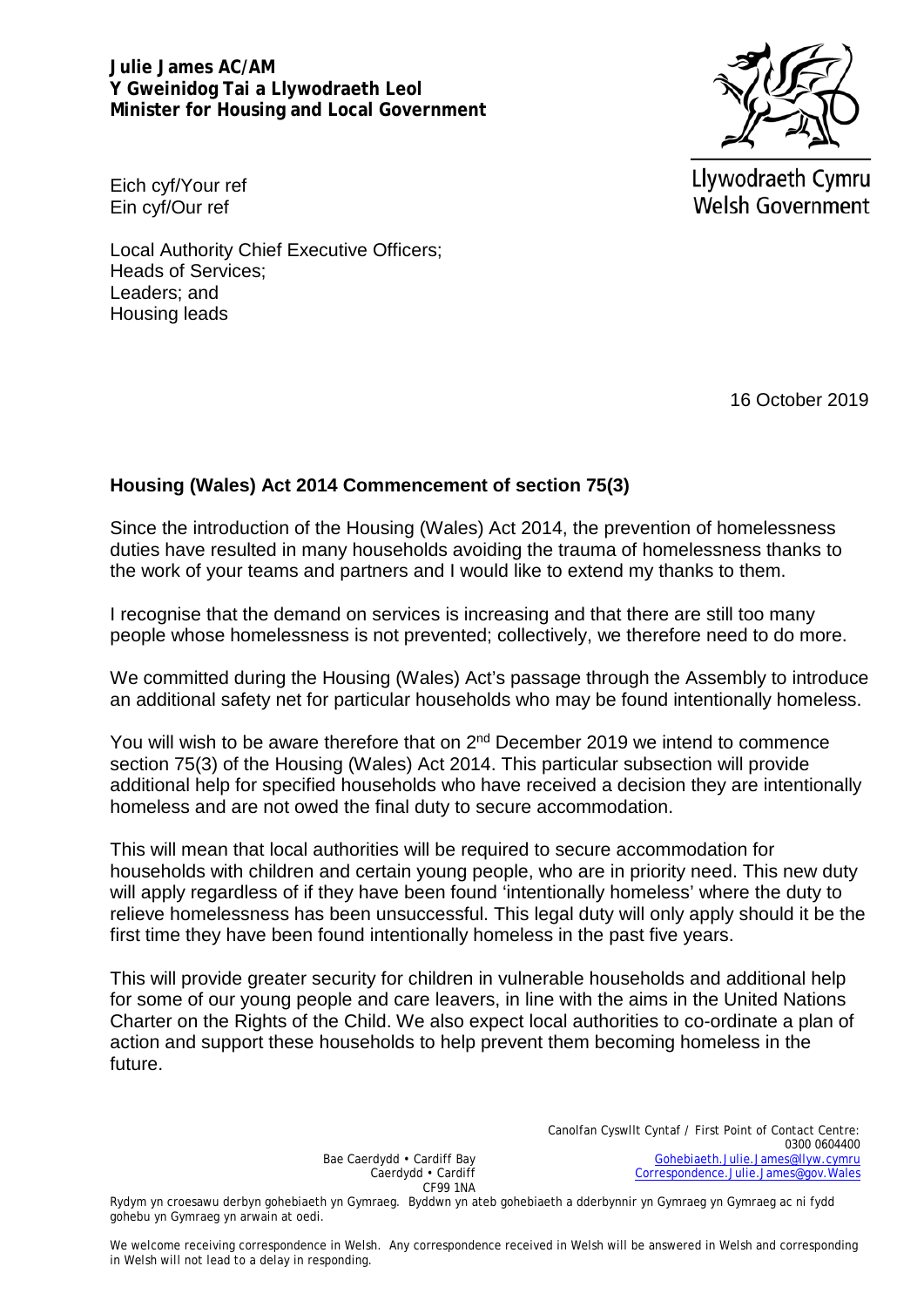**Julie James AC/AM Y Gweinidog Tai a Llywodraeth Leol Minister for Housing and Local Government** 



Llywodraeth Cymru **Welsh Government** 

Eich cyf/Your ref Ein cyf/Our ref

Local Authority Chief Executive Officers; Heads of Services; Leaders; and Housing leads

16 October 2019

## **Housing (Wales) Act 2014 Commencement of section 75(3)**

Since the introduction of the Housing (Wales) Act 2014, the prevention of homelessness duties have resulted in many households avoiding the trauma of homelessness thanks to the work of your teams and partners and I would like to extend my thanks to them.

I recognise that the demand on services is increasing and that there are still too many people whose homelessness is not prevented; collectively, we therefore need to do more.

We committed during the Housing (Wales) Act's passage through the Assembly to introduce an additional safety net for particular households who may be found intentionally homeless.

You will wish to be aware therefore that on 2<sup>nd</sup> December 2019 we intend to commence section 75(3) of the Housing (Wales) Act 2014. This particular subsection will provide additional help for specified households who have received a decision they are intentionally homeless and are not owed the final duty to secure accommodation.

This will mean that local authorities will be required to secure accommodation for households with children and certain young people, who are in priority need. This new duty will apply regardless of if they have been found 'intentionally homeless' where the duty to relieve homelessness has been unsuccessful. This legal duty will only apply should it be the first time they have been found intentionally homeless in the past five years.

This will provide greater security for children in vulnerable households and additional help for some of our young people and care leavers, in line with the aims in the United Nations Charter on the Rights of the Child. We also expect local authorities to co-ordinate a plan of action and support these households to help prevent them becoming homeless in the future.

> Bae Caerdydd • Cardiff Bay Caerdydd • Cardiff CF99 1NA

Canolfan Cyswllt Cyntaf / First Point of Contact Centre: 0300 0604400 [Gohebiaeth.Julie.James@llyw.cymru](mailto:Gohebiaeth.Julie.James@llyw.cymru)  [Correspondence.Julie.James@gov.Wales](mailto:Correspondence.Julie.James@gov.Wales)

Rydym yn croesawu derbyn gohebiaeth yn Gymraeg. Byddwn yn ateb gohebiaeth a dderbynnir yn Gymraeg yn Gymraeg ac ni fydd gohebu yn Gymraeg yn arwain at oedi.

We welcome receiving correspondence in Welsh. Any correspondence received in Welsh will be answered in Welsh and corresponding in Welsh will not lead to a delay in responding.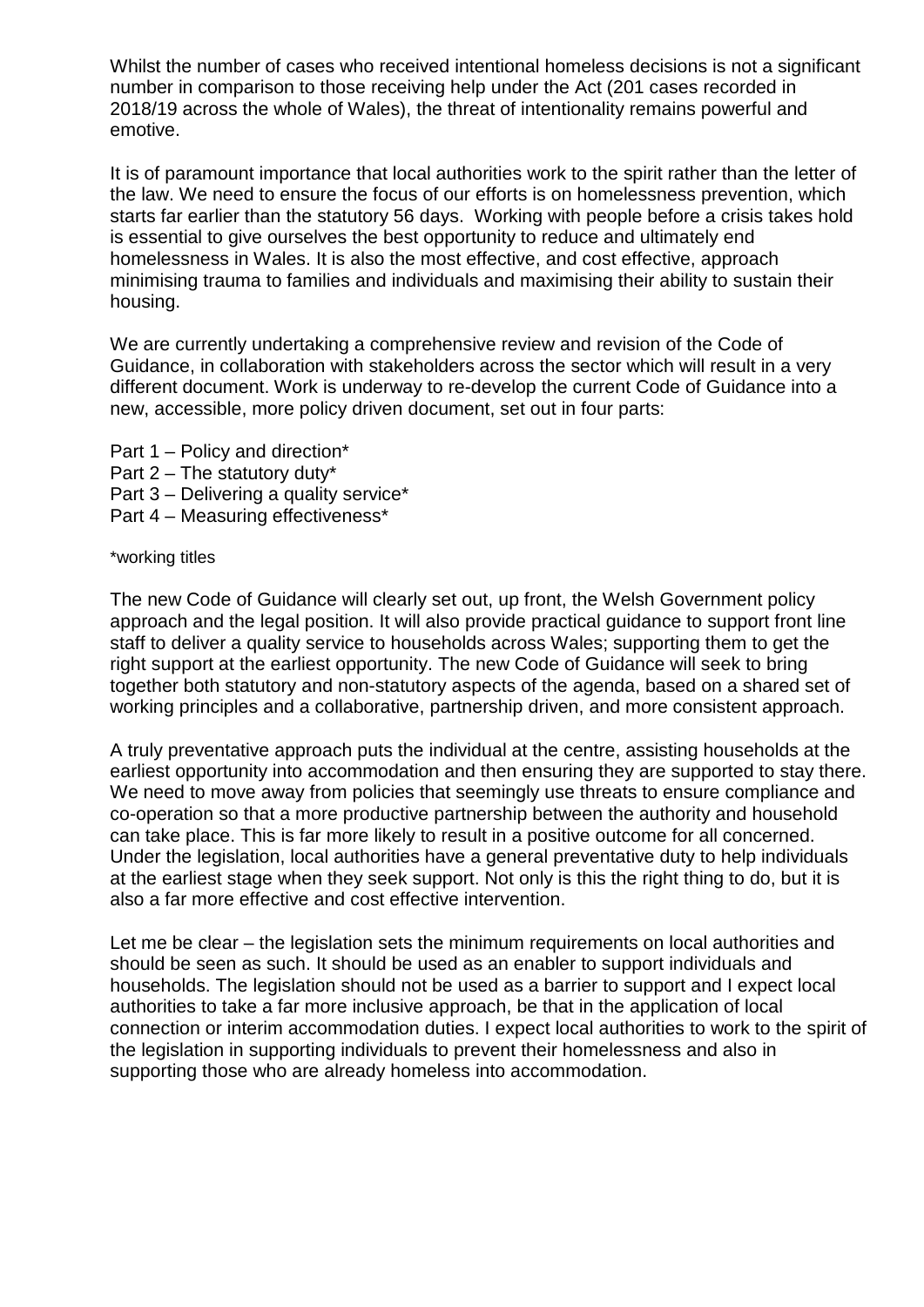Whilst the number of cases who received intentional homeless decisions is not a significant number in comparison to those receiving help under the Act (201 cases recorded in 2018/19 across the whole of Wales), the threat of intentionality remains powerful and emotive.

It is of paramount importance that local authorities work to the spirit rather than the letter of the law. We need to ensure the focus of our efforts is on homelessness prevention, which starts far earlier than the statutory 56 days. Working with people before a crisis takes hold is essential to give ourselves the best opportunity to reduce and ultimately end homelessness in Wales. It is also the most effective, and cost effective, approach minimising trauma to families and individuals and maximising their ability to sustain their housing.

We are currently undertaking a comprehensive review and revision of the Code of Guidance, in collaboration with stakeholders across the sector which will result in a very different document. Work is underway to re-develop the current Code of Guidance into a new, accessible, more policy driven document, set out in four parts:

- Part 1 Policy and direction\* Part  $2$  – The statutory duty\*
- Part 3 Delivering a quality service\*
- Part 4 Measuring effectiveness\*

\*working titles

The new Code of Guidance will clearly set out, up front, the Welsh Government policy approach and the legal position. It will also provide practical guidance to support front line staff to deliver a quality service to households across Wales; supporting them to get the right support at the earliest opportunity. The new Code of Guidance will seek to bring together both statutory and non-statutory aspects of the agenda, based on a shared set of working principles and a collaborative, partnership driven, and more consistent approach.

A truly preventative approach puts the individual at the centre, assisting households at the earliest opportunity into accommodation and then ensuring they are supported to stay there. We need to move away from policies that seemingly use threats to ensure compliance and co-operation so that a more productive partnership between the authority and household can take place. This is far more likely to result in a positive outcome for all concerned. Under the legislation, local authorities have a general preventative duty to help individuals at the earliest stage when they seek support. Not only is this the right thing to do, but it is also a far more effective and cost effective intervention.

Let me be clear – the legislation sets the minimum requirements on local authorities and should be seen as such. It should be used as an enabler to support individuals and households. The legislation should not be used as a barrier to support and I expect local authorities to take a far more inclusive approach, be that in the application of local connection or interim accommodation duties. I expect local authorities to work to the spirit of the legislation in supporting individuals to prevent their homelessness and also in supporting those who are already homeless into accommodation.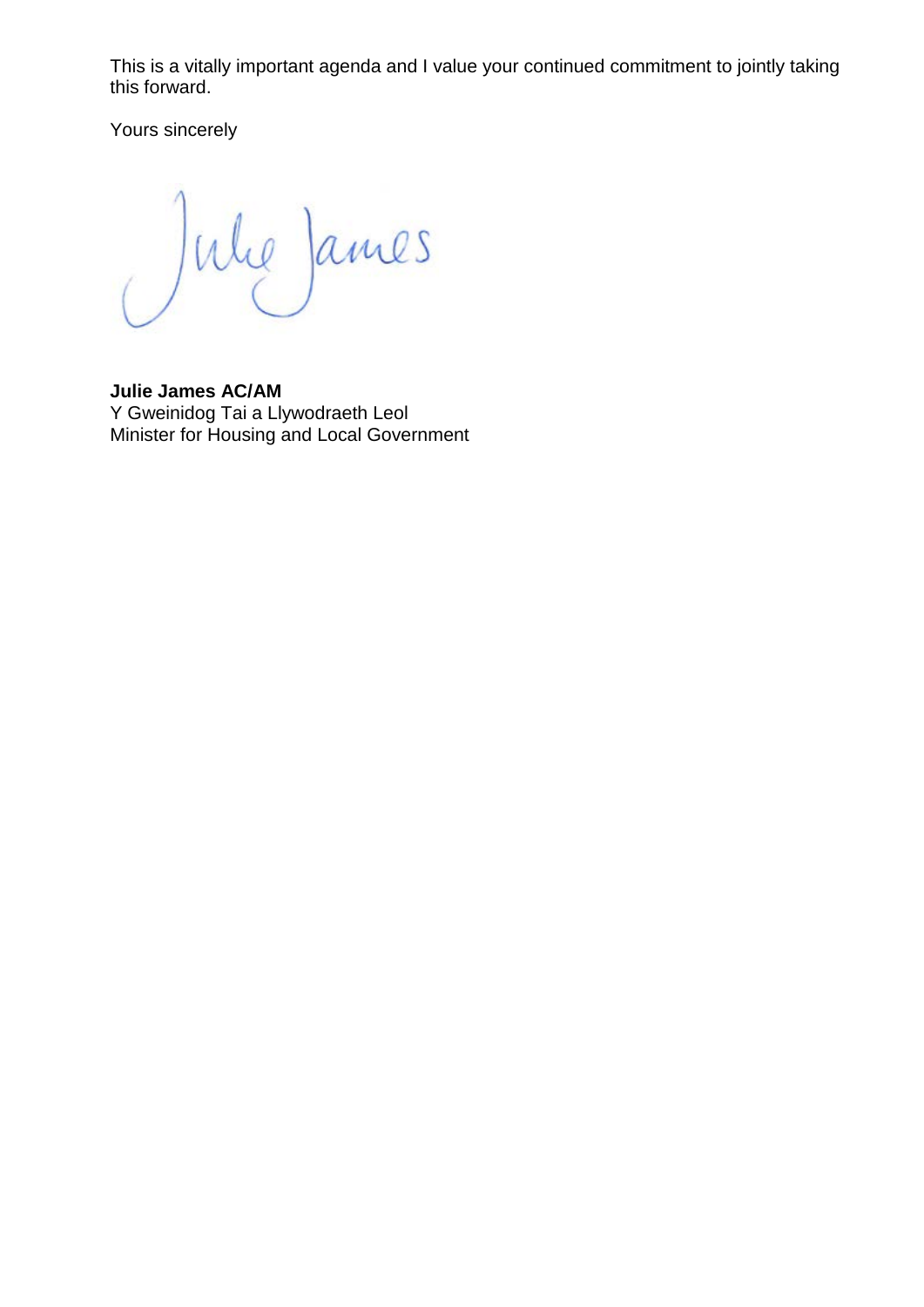This is a vitally important agenda and I value your continued commitment to jointly taking this forward.

Yours sincerely

Jule James

**Julie James AC/AM** Y Gweinidog Tai a Llywodraeth Leol Minister for Housing and Local Government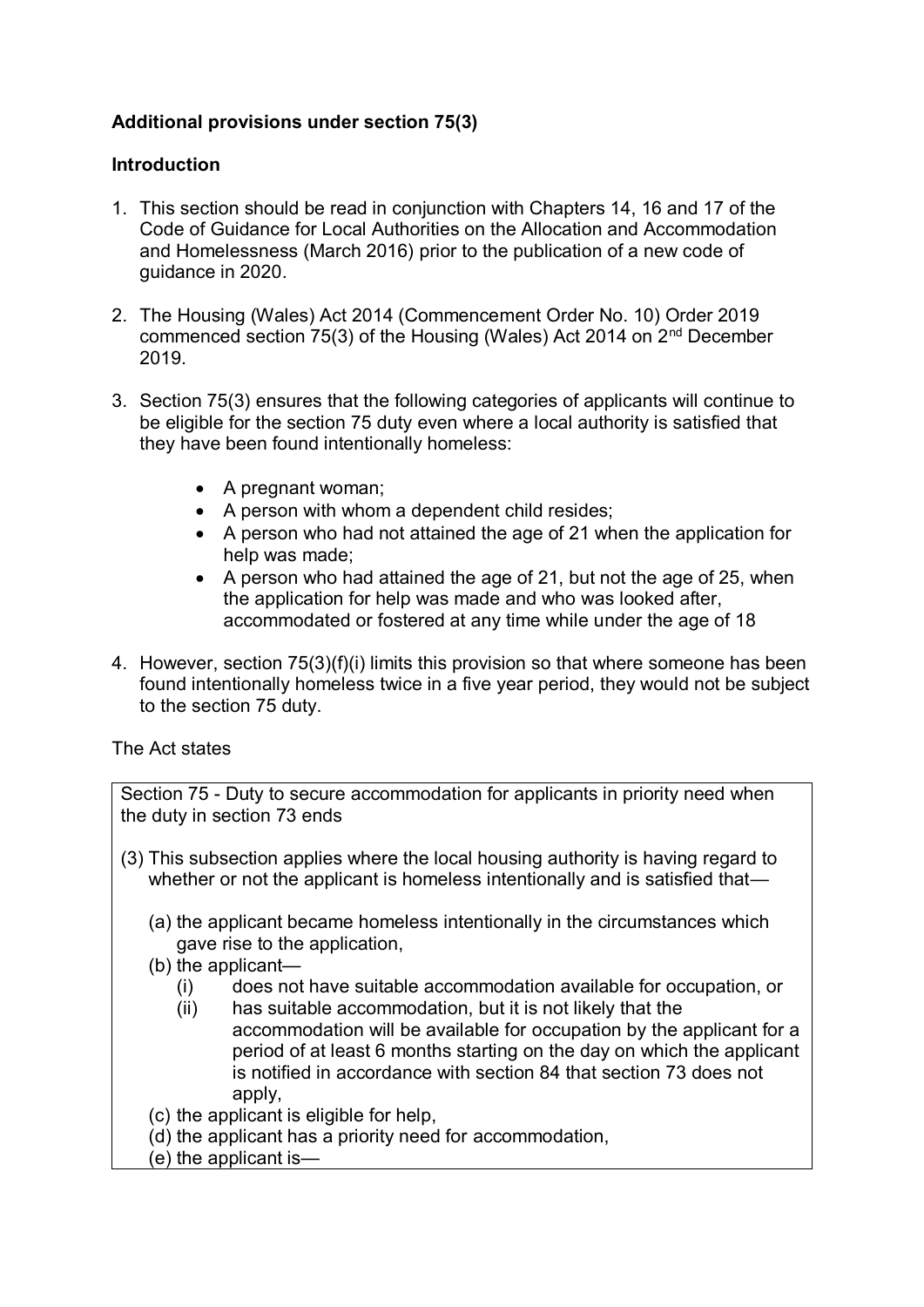# **Additional provisions under section 75(3)**

## **Introduction**

- 1. This section should be read in conjunction with Chapters 14, 16 and 17 of the Code of Guidance for Local Authorities on the Allocation and Accommodation and Homelessness (March 2016) prior to the publication of a new code of guidance in 2020.
- 2. The Housing (Wales) Act 2014 (Commencement Order No. 10) Order 2019 commenced section 75(3) of the Housing (Wales) Act 2014 on 2nd December 2019.
- 3. Section 75(3) ensures that the following categories of applicants will continue to be eligible for the section 75 duty even where a local authority is satisfied that they have been found intentionally homeless:
	- A pregnant woman;
	- A person with whom a dependent child resides;
	- A person who had not attained the age of 21 when the application for help was made;
	- A person who had attained the age of 21, but not the age of 25, when the application for help was made and who was looked after, accommodated or fostered at any time while under the age of 18
- 4. However, section 75(3)(f)(i) limits this provision so that where someone has been found intentionally homeless twice in a five year period, they would not be subject to the section 75 duty.

The Act states

Section 75 - Duty to secure accommodation for applicants in priority need when the duty in section 73 ends

- (3) This subsection applies where the local housing authority is having regard to whether or not the applicant is homeless intentionally and is satisfied that—
	- (a) the applicant became homeless intentionally in the circumstances which gave rise to the application,
	- (b) the applicant—
		- (i) does not have suitable accommodation available for occupation, or
		- (ii) has suitable accommodation, but it is not likely that the accommodation will be available for occupation by the applicant for a period of at least 6 months starting on the day on which the applicant is notified in accordance with section 84 that section 73 does not apply,
	- (c) the applicant is eligible for help,
	- (d) the applicant has a priority need for accommodation,
	- (e) the applicant is—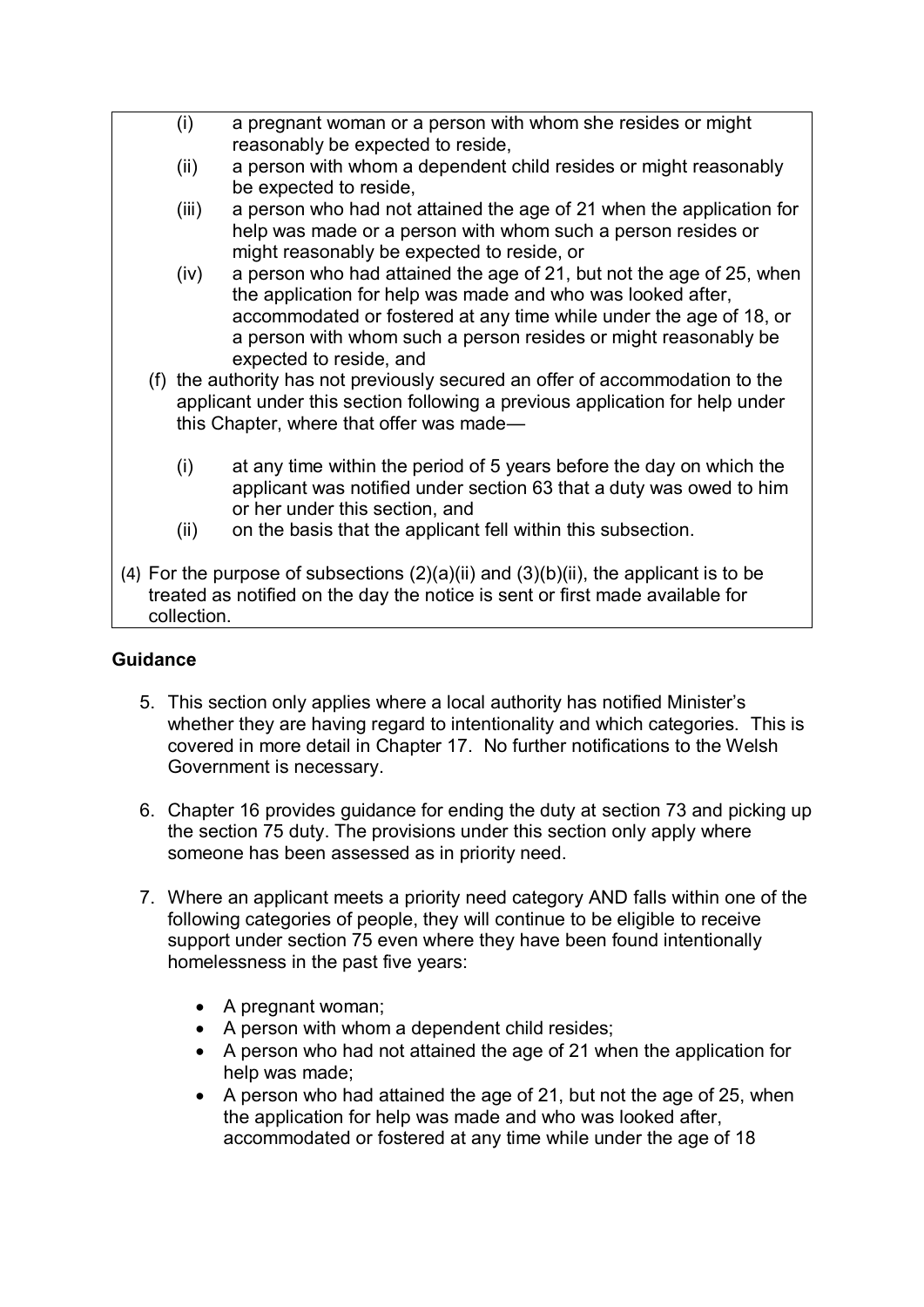- (i) a pregnant woman or a person with whom she resides or might reasonably be expected to reside,
	- (ii) a person with whom a dependent child resides or might reasonably be expected to reside,
	- (iii) a person who had not attained the age of 21 when the application for help was made or a person with whom such a person resides or might reasonably be expected to reside, or
	- (iv) a person who had attained the age of 21, but not the age of 25, when the application for help was made and who was looked after, accommodated or fostered at any time while under the age of 18, or a person with whom such a person resides or might reasonably be expected to reside, and
- (f) the authority has not previously secured an offer of accommodation to the applicant under this section following a previous application for help under this Chapter, where that offer was made—
	- (i) at any time within the period of 5 years before the day on which the applicant was notified under section 63 that a duty was owed to him or her under this section, and
	- (ii) on the basis that the applicant fell within this subsection.
- (4) For the purpose of subsections  $(2)(a)(ii)$  and  $(3)(b)(ii)$ , the applicant is to be treated as notified on the day the notice is sent or first made available for collection.

# **Guidance**

- 5. This section only applies where a local authority has notified Minister's whether they are having regard to intentionality and which categories. This is covered in more detail in Chapter 17. No further notifications to the Welsh Government is necessary.
- 6. Chapter 16 provides guidance for ending the duty at section 73 and picking up the section 75 duty. The provisions under this section only apply where someone has been assessed as in priority need.
- 7. Where an applicant meets a priority need category AND falls within one of the following categories of people, they will continue to be eligible to receive support under section 75 even where they have been found intentionally homelessness in the past five years:
	- A pregnant woman;
	- A person with whom a dependent child resides;
	- A person who had not attained the age of 21 when the application for help was made;
	- A person who had attained the age of 21, but not the age of 25, when the application for help was made and who was looked after, accommodated or fostered at any time while under the age of 18